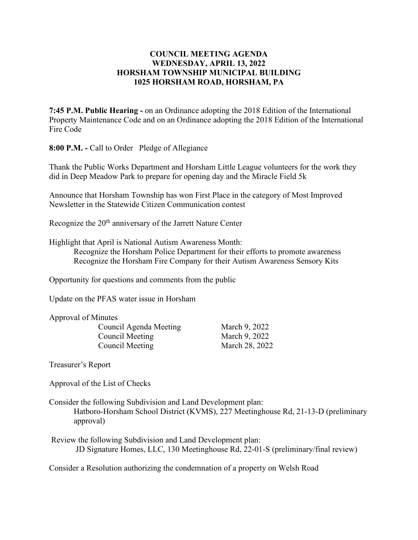## **COUNCIL MEETING AGENDA WEDNESDAY, APRIL 13, 2022 HORSHAM TOWNSHIP MUNICIPAL BUILDING 1025 HORSHAM ROAD, HORSHAM, PA**

**7:45 P.M. Public Hearing -** on an Ordinance adopting the 2018 Edition of the International Property Maintenance Code and on an Ordinance adopting the 2018 Edition of the International Fire Code

**8:00 P.M. -** Call to Order Pledge of Allegiance

Thank the Public Works Department and Horsham Little League volunteers for the work they did in Deep Meadow Park to prepare for opening day and the Miracle Field 5k

Announce that Horsham Township has won First Place in the category of Most Improved Newsletter in the Statewide Citizen Communication contest

Recognize the 20<sup>th</sup> anniversary of the Jarrett Nature Center

Highlight that April is National Autism Awareness Month:

Recognize the Horsham Police Department for their efforts to promote awareness Recognize the Horsham Fire Company for their Autism Awareness Sensory Kits

Opportunity for questions and comments from the public

Update on the PFAS water issue in Horsham

Approval of Minutes

Council Agenda Meeting March 9, 2022 Council Meeting March 9, 2022 Council Meeting March 28, 2022

Treasurer's Report

Approval of the List of Checks

Consider the following Subdivision and Land Development plan: Hatboro-Horsham School District (KVMS), 227 Meetinghouse Rd, 21-13-D (preliminary approval)

Review the following Subdivision and Land Development plan: JD Signature Homes, LLC, 130 Meetinghouse Rd, 22-01-S (preliminary/final review)

Consider a Resolution authorizing the condemnation of a property on Welsh Road